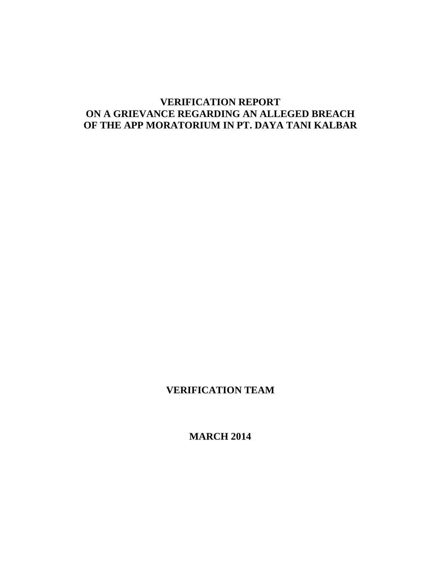# **VERIFICATION REPORT ON A GRIEVANCE REGARDING AN ALLEGED BREACH OF THE APP MORATORIUM IN PT. DAYA TANI KALBAR**

# **VERIFICATION TEAM**

**MARCH 2014**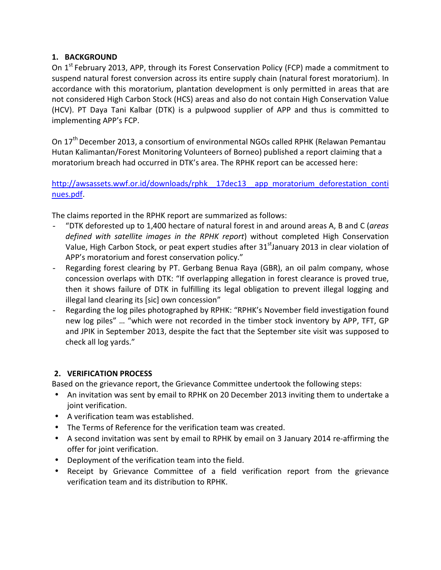## **1. BACKGROUND**

On 1<sup>st</sup> February 2013, APP, through its Forest Conservation Policy (FCP) made a commitment to suspend natural forest conversion across its entire supply chain (natural forest moratorium). In accordance with this moratorium, plantation development is only permitted in areas that are not considered High Carbon Stock (HCS) areas and also do not contain High Conservation Value (HCV). PT Daya Tani Kalbar (DTK) is a pulpwood supplier of APP and thus is committed to implementing APP's FCP.

On 17<sup>th</sup> December 2013, a consortium of environmental NGOs called RPHK (Relawan Pemantau Hutan Kalimantan/Forest Monitoring Volunteers of Borneo) published a report claiming that a moratorium breach had occurred in DTK's area. The RPHK report can be accessed here:

http://awsassets.wwf.or.id/downloads/rphk 17dec13 app\_moratorium\_deforestation\_conti nues.pdf.

The claims reported in the RPHK report are summarized as follows:

- "DTK deforested up to 1,400 hectare of natural forest in and around areas A, B and C (*areas defined with satellite images in the RPHK report*) without completed High Conservation Value, High Carbon Stock, or peat expert studies after 31<sup>st</sup>January 2013 in clear violation of APP's moratorium and forest conservation policy."
- Regarding forest clearing by PT. Gerbang Benua Raya (GBR), an oil palm company, whose concession overlaps with DTK: "If overlapping allegation in forest clearance is proved true, then it shows failure of DTK in fulfilling its legal obligation to prevent illegal logging and illegal land clearing its [sic] own concession"
- Regarding the log piles photographed by RPHK: "RPHK's November field investigation found new log piles" … "which were not recorded in the timber stock inventory by APP, TFT, GP and JPIK in September 2013, despite the fact that the September site visit was supposed to check all log yards."

## **2. VERIFICATION PROCESS**

Based on the grievance report, the Grievance Committee undertook the following steps:

- An invitation was sent by email to RPHK on 20 December 2013 inviting them to undertake a joint verification.
- A verification team was established.
- The Terms of Reference for the verification team was created.
- A second invitation was sent by email to RPHK by email on 3 January 2014 re-affirming the offer for joint verification.
- Deployment of the verification team into the field.
- Receipt by Grievance Committee of a field verification report from the grievance verification team and its distribution to RPHK.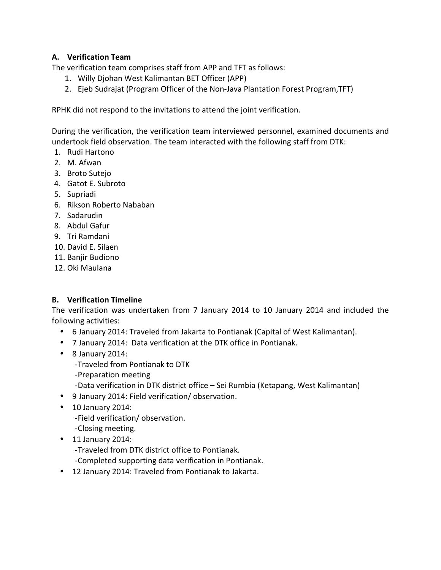## **A. Verification Team**

The verification team comprises staff from APP and TFT as follows:

- 1. Willy Djohan West Kalimantan BET Officer (APP)
- 2. Ejeb Sudrajat (Program Officer of the Non-Java Plantation Forest Program,TFT)

RPHK did not respond to the invitations to attend the joint verification.

During the verification, the verification team interviewed personnel, examined documents and undertook field observation. The team interacted with the following staff from DTK:

- 1. Rudi Hartono
- 2. M. Afwan
- 3. Broto Sutejo
- 4. Gatot E. Subroto
- 5. Supriadi
- 6. Rikson Roberto Nababan
- 7. Sadarudin
- 8. Abdul Gafur
- 9. Tri Ramdani
- 10. David E. Silaen
- 11. Banjir Budiono
- 12. Oki Maulana

## **B. Verification Timeline**

The verification was undertaken from 7 January 2014 to 10 January 2014 and included the following activities:

- 6 January 2014: Traveled from Jakarta to Pontianak (Capital of West Kalimantan).
- 7 January 2014: Data verification at the DTK office in Pontianak.
- 8 January 2014:
	- -Traveled from Pontianak to DTK
	- -Preparation meeting
	- -Data verification in DTK district office Sei Rumbia (Ketapang, West Kalimantan)
- 9 January 2014: Field verification/ observation.
- 10 January 2014:
	- -Field verification/ observation.
	- -Closing meeting.
- 11 January 2014:
	- -Traveled from DTK district office to Pontianak.
	- -Completed supporting data verification in Pontianak.
- 12 January 2014: Traveled from Pontianak to Jakarta.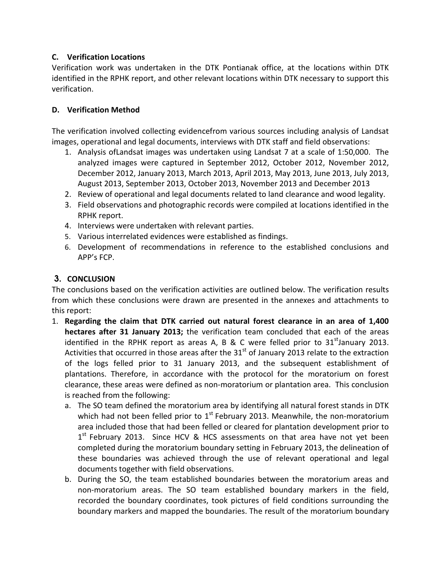## **C. Verification Locations**

Verification work was undertaken in the DTK Pontianak office, at the locations within DTK identified in the RPHK report, and other relevant locations within DTK necessary to support this verification.

## **D. Verification Method**

The verification involved collecting evidencefrom various sources including analysis of Landsat images, operational and legal documents, interviews with DTK staff and field observations:

- 1. Analysis ofLandsat images was undertaken using Landsat 7 at a scale of 1:50,000. The analyzed images were captured in September 2012, October 2012, November 2012, December 2012, January 2013, March 2013, April 2013, May 2013, June 2013, July 2013, August 2013, September 2013, October 2013, November 2013 and December 2013
- 2. Review of operational and legal documents related to land clearance and wood legality.
- 3. Field observations and photographic records were compiled at locations identified in the RPHK report.
- 4. Interviews were undertaken with relevant parties.
- 5. Various interrelated evidences were established as findings.
- 6. Development of recommendations in reference to the established conclusions and APP's FCP.

## 3. **CONCLUSION**

The conclusions based on the verification activities are outlined below. The verification results from which these conclusions were drawn are presented in the annexes and attachments to this report:

- 1. **Regarding the claim that DTK carried out natural forest clearance in an area of 1,400 hectares after 31 January 2013;** the verification team concluded that each of the areas identified in the RPHK report as areas A, B & C were felled prior to  $31<sup>st</sup>$ January 2013. Activities that occurred in those areas after the 31<sup>st</sup> of January 2013 relate to the extraction of the logs felled prior to 31 January 2013, and the subsequent establishment of plantations. Therefore, in accordance with the protocol for the moratorium on forest clearance, these areas were defined as non-moratorium or plantation area. This conclusion is reached from the following:
	- a. The SO team defined the moratorium area by identifying all natural forest stands in DTK which had not been felled prior to  $1<sup>st</sup>$  February 2013. Meanwhile, the non-moratorium area included those that had been felled or cleared for plantation development prior to 1<sup>st</sup> February 2013. Since HCV & HCS assessments on that area have not yet been completed during the moratorium boundary setting in February 2013, the delineation of these boundaries was achieved through the use of relevant operational and legal documents together with field observations.
	- b. During the SO, the team established boundaries between the moratorium areas and non-moratorium areas. The SO team established boundary markers in the field, recorded the boundary coordinates, took pictures of field conditions surrounding the boundary markers and mapped the boundaries. The result of the moratorium boundary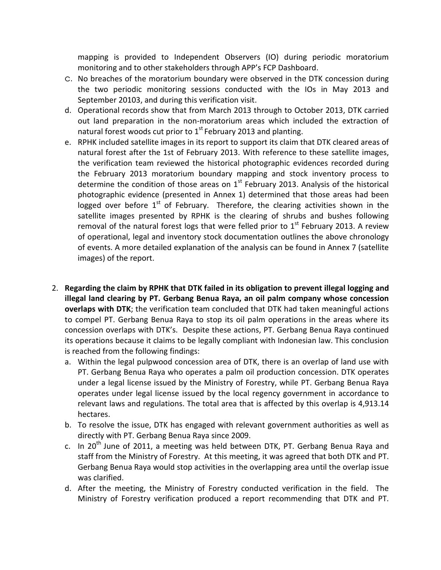mapping is provided to Independent Observers (IO) during periodic moratorium monitoring and to other stakeholders through APP's FCP Dashboard.

- c. No breaches of the moratorium boundary were observed in the DTK concession during the two periodic monitoring sessions conducted with the IOs in May 2013 and September 20103, and during this verification visit.
- d. Operational records show that from March 2013 through to October 2013, DTK carried out land preparation in the non-moratorium areas which included the extraction of natural forest woods cut prior to  $1^{st}$  February 2013 and planting.
- e. RPHK included satellite images in its report to support its claim that DTK cleared areas of natural forest after the 1st of February 2013. With reference to these satellite images, the verification team reviewed the historical photographic evidences recorded during the February 2013 moratorium boundary mapping and stock inventory process to determine the condition of those areas on  $1<sup>st</sup>$  February 2013. Analysis of the historical photographic evidence (presented in Annex 1) determined that those areas had been logged over before  $1<sup>st</sup>$  of February. Therefore, the clearing activities shown in the satellite images presented by RPHK is the clearing of shrubs and bushes following removal of the natural forest logs that were felled prior to  $1<sup>st</sup>$  February 2013. A review of operational, legal and inventory stock documentation outlines the above chronology of events. A more detailed explanation of the analysis can be found in Annex 7 (satellite images) of the report.
- 2. **Regarding the claim by RPHK that DTK failed in its obligation to prevent illegal logging and illegal land clearing by PT. Gerbang Benua Raya, an oil palm company whose concession overlaps with DTK**; the verification team concluded that DTK had taken meaningful actions to compel PT. Gerbang Benua Raya to stop its oil palm operations in the areas where its concession overlaps with DTK's. Despite these actions, PT. Gerbang Benua Raya continued its operations because it claims to be legally compliant with Indonesian law. This conclusion is reached from the following findings:
	- a. Within the legal pulpwood concession area of DTK, there is an overlap of land use with PT. Gerbang Benua Raya who operates a palm oil production concession. DTK operates under a legal license issued by the Ministry of Forestry, while PT. Gerbang Benua Raya operates under legal license issued by the local regency government in accordance to relevant laws and regulations. The total area that is affected by this overlap is 4,913.14 hectares.
	- b. To resolve the issue, DTK has engaged with relevant government authorities as well as directly with PT. Gerbang Benua Raya since 2009.
	- c. In 20<sup>th</sup> June of 2011, a meeting was held between DTK, PT. Gerbang Benua Raya and staff from the Ministry of Forestry. At this meeting, it was agreed that both DTK and PT. Gerbang Benua Raya would stop activities in the overlapping area until the overlap issue was clarified.
	- d. After the meeting, the Ministry of Forestry conducted verification in the field. The Ministry of Forestry verification produced a report recommending that DTK and PT.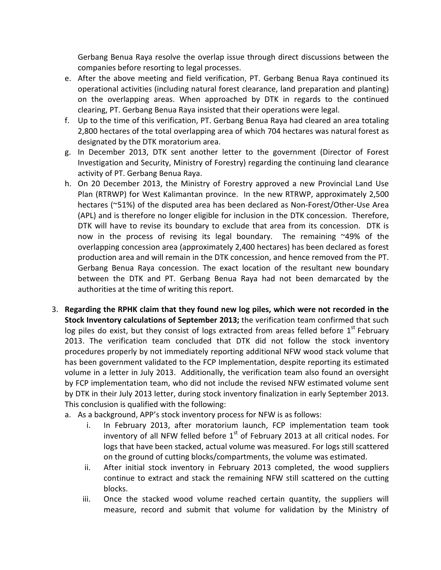Gerbang Benua Raya resolve the overlap issue through direct discussions between the companies before resorting to legal processes.

- e. After the above meeting and field verification, PT. Gerbang Benua Raya continued its operational activities (including natural forest clearance, land preparation and planting) on the overlapping areas. When approached by DTK in regards to the continued clearing, PT. Gerbang Benua Raya insisted that their operations were legal.
- f. Up to the time of this verification, PT. Gerbang Benua Raya had cleared an area totaling 2,800 hectares of the total overlapping area of which 704 hectares was natural forest as designated by the DTK moratorium area.
- g. In December 2013, DTK sent another letter to the government (Director of Forest Investigation and Security, Ministry of Forestry) regarding the continuing land clearance activity of PT. Gerbang Benua Raya.
- h. On 20 December 2013, the Ministry of Forestry approved a new Provincial Land Use Plan (RTRWP) for West Kalimantan province. In the new RTRWP, approximately 2,500 hectares (~51%) of the disputed area has been declared as Non-Forest/Other-Use Area (APL) and is therefore no longer eligible for inclusion in the DTK concession. Therefore, DTK will have to revise its boundary to exclude that area from its concession. DTK is now in the process of revising its legal boundary. The remaining ~49% of the overlapping concession area (approximately 2,400 hectares) has been declared as forest production area and will remain in the DTK concession, and hence removed from the PT. Gerbang Benua Raya concession. The exact location of the resultant new boundary between the DTK and PT. Gerbang Benua Raya had not been demarcated by the authorities at the time of writing this report.
- 3. **Regarding the RPHK claim that they found new log piles, which were not recorded in the Stock Inventory calculations of September 2013;** the verification team confirmed that such log piles do exist, but they consist of logs extracted from areas felled before  $1<sup>st</sup>$  February 2013. The verification team concluded that DTK did not follow the stock inventory procedures properly by not immediately reporting additional NFW wood stack volume that has been government validated to the FCP Implementation, despite reporting its estimated volume in a letter in July 2013. Additionally, the verification team also found an oversight by FCP implementation team, who did not include the revised NFW estimated volume sent by DTK in their July 2013 letter, during stock inventory finalization in early September 2013. This conclusion is qualified with the following:
	- a. As a background, APP's stock inventory process for NFW is as follows:
		- i. In February 2013, after moratorium launch, FCP implementation team took inventory of all NFW felled before  $1<sup>st</sup>$  of February 2013 at all critical nodes. For logs that have been stacked, actual volume was measured. For logs still scattered on the ground of cutting blocks/compartments, the volume was estimated.
		- ii. After initial stock inventory in February 2013 completed, the wood suppliers continue to extract and stack the remaining NFW still scattered on the cutting blocks.
		- iii. Once the stacked wood volume reached certain quantity, the suppliers will measure, record and submit that volume for validation by the Ministry of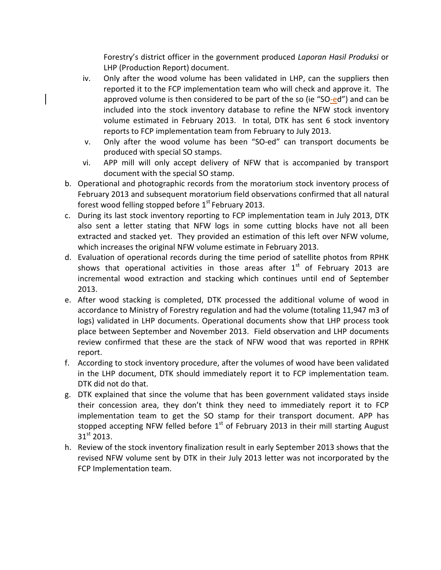Forestry's district officer in the government produced *Laporan Hasil Produksi* or LHP (Production Report) document.

- iv. Only after the wood volume has been validated in LHP, can the suppliers then reported it to the FCP implementation team who will check and approve it. The approved volume is then considered to be part of the so (ie "SO-ed") and can be included into the stock inventory database to refine the NFW stock inventory volume estimated in February 2013. In total, DTK has sent 6 stock inventory reports to FCP implementation team from February to July 2013.
- v. Only after the wood volume has been "SO-ed" can transport documents be produced with special SO stamps.
- vi. APP mill will only accept delivery of NFW that is accompanied by transport document with the special SO stamp.
- b. Operational and photographic records from the moratorium stock inventory process of February 2013 and subsequent moratorium field observations confirmed that all natural forest wood felling stopped before  $1<sup>st</sup>$  February 2013.
- c. During its last stock inventory reporting to FCP implementation team in July 2013, DTK also sent a letter stating that NFW logs in some cutting blocks have not all been extracted and stacked yet. They provided an estimation of this left over NFW volume, which increases the original NFW volume estimate in February 2013.
- d. Evaluation of operational records during the time period of satellite photos from RPHK shows that operational activities in those areas after  $1<sup>st</sup>$  of February 2013 are incremental wood extraction and stacking which continues until end of September 2013.
- e. After wood stacking is completed, DTK processed the additional volume of wood in accordance to Ministry of Forestry regulation and had the volume (totaling 11,947 m3 of logs) validated in LHP documents. Operational documents show that LHP process took place between September and November 2013. Field observation and LHP documents review confirmed that these are the stack of NFW wood that was reported in RPHK report.
- f. According to stock inventory procedure, after the volumes of wood have been validated in the LHP document, DTK should immediately report it to FCP implementation team. DTK did not do that.
- g. DTK explained that since the volume that has been government validated stays inside their concession area, they don't think they need to immediately report it to FCP implementation team to get the SO stamp for their transport document. APP has stopped accepting NFW felled before  $1<sup>st</sup>$  of February 2013 in their mill starting August  $31<sup>st</sup>$  2013.
- h. Review of the stock inventory finalization result in early September 2013 shows that the revised NFW volume sent by DTK in their July 2013 letter was not incorporated by the FCP Implementation team.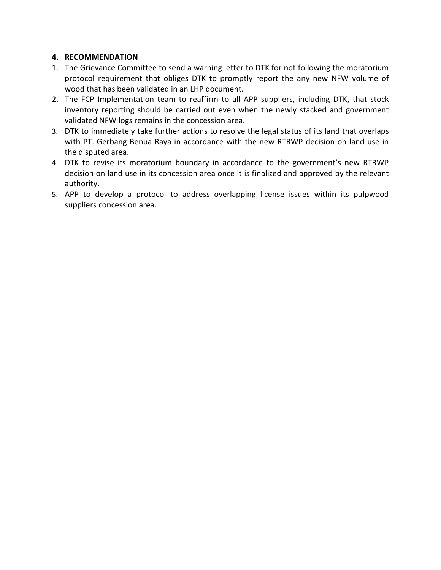## **4. RECOMMENDATION**

- 1. The Grievance Committee to send a warning letter to DTK for not following the moratorium protocol requirement that obliges DTK to promptly report the any new NFW volume of wood that has been validated in an LHP document.
- 2. The FCP Implementation team to reaffirm to all APP suppliers, including DTK, that stock inventory reporting should be carried out even when the newly stacked and government validated NFW logs remains in the concession area.
- 3. DTK to immediately take further actions to resolve the legal status of its land that overlaps with PT. Gerbang Benua Raya in accordance with the new RTRWP decision on land use in the disputed area.
- 4. DTK to revise its moratorium boundary in accordance to the government's new RTRWP decision on land use in its concession area once it is finalized and approved by the relevant authority.
- 5. APP to develop a protocol to address overlapping license issues within its pulpwood suppliers concession area.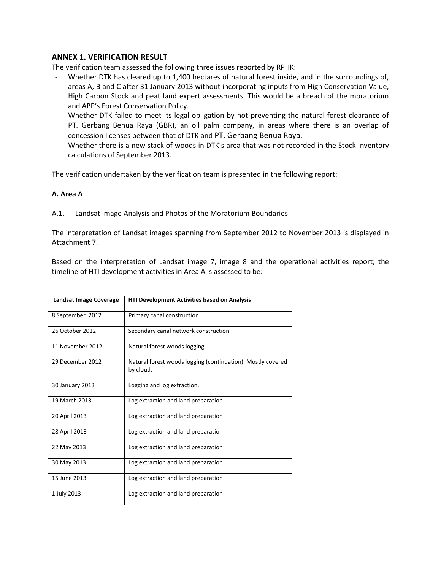### **ANNEX 1. VERIFICATION RESULT**

The verification team assessed the following three issues reported by RPHK:

- Whether DTK has cleared up to 1,400 hectares of natural forest inside, and in the surroundings of, areas A, B and C after 31 January 2013 without incorporating inputs from High Conservation Value, High Carbon Stock and peat land expert assessments. This would be a breach of the moratorium and APP's Forest Conservation Policy.
- Whether DTK failed to meet its legal obligation by not preventing the natural forest clearance of PT. Gerbang Benua Raya (GBR), an oil palm company, in areas where there is an overlap of concession licenses between that of DTK and PT. Gerbang Benua Raya.
- Whether there is a new stack of woods in DTK's area that was not recorded in the Stock Inventory calculations of September 2013.

The verification undertaken by the verification team is presented in the following report:

### **A. Area A**

A.1. Landsat Image Analysis and Photos of the Moratorium Boundaries

The interpretation of Landsat images spanning from September 2012 to November 2013 is displayed in Attachment 7.

Based on the interpretation of Landsat image 7, image 8 and the operational activities report; the timeline of HTI development activities in Area A is assessed to be:

| Landsat Image Coverage | <b>HTI Development Activities based on Analysis</b>                      |  |  |  |
|------------------------|--------------------------------------------------------------------------|--|--|--|
| 8 September 2012       | Primary canal construction                                               |  |  |  |
| 26 October 2012        | Secondary canal network construction                                     |  |  |  |
| 11 November 2012       | Natural forest woods logging                                             |  |  |  |
| 29 December 2012       | Natural forest woods logging (continuation). Mostly covered<br>by cloud. |  |  |  |
| 30 January 2013        | Logging and log extraction.                                              |  |  |  |
| 19 March 2013          | Log extraction and land preparation                                      |  |  |  |
| 20 April 2013          | Log extraction and land preparation                                      |  |  |  |
| 28 April 2013          | Log extraction and land preparation                                      |  |  |  |
| 22 May 2013            | Log extraction and land preparation                                      |  |  |  |
| 30 May 2013            | Log extraction and land preparation                                      |  |  |  |
| 15 June 2013           | Log extraction and land preparation                                      |  |  |  |
| 1 July 2013            | Log extraction and land preparation                                      |  |  |  |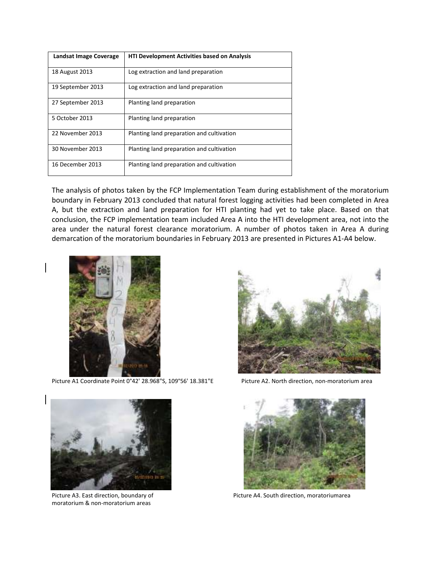| Landsat Image Coverage | <b>HTI Development Activities based on Analysis</b> |  |  |
|------------------------|-----------------------------------------------------|--|--|
| 18 August 2013         | Log extraction and land preparation                 |  |  |
| 19 September 2013      | Log extraction and land preparation                 |  |  |
| 27 September 2013      | Planting land preparation                           |  |  |
| 5 October 2013         | Planting land preparation                           |  |  |
| 22 November 2013       | Planting land preparation and cultivation           |  |  |
| 30 November 2013       | Planting land preparation and cultivation           |  |  |
| 16 December 2013       | Planting land preparation and cultivation           |  |  |

The analysis of photos taken by the FCP Implementation Team during establishment of the moratorium boundary in February 2013 concluded that natural forest logging activities had been completed in Area A, but the extraction and land preparation for HTI planting had yet to take place. Based on that conclusion, the FCP implementation team included Area A into the HTI development area, not into the area under the natural forest clearance moratorium. A number of photos taken in Area A during demarcation of the moratorium boundaries in February 2013 are presented in Pictures A1-A4 below.



Picture A1 Coordinate Point 0°42' 28.968"S, 109°56' 18.381"E Picture A2. North direction, non-moratorium area





moratorium & non-moratorium areas



Picture A3. East direction, boundary of Picture A4. South direction, moratoriumarea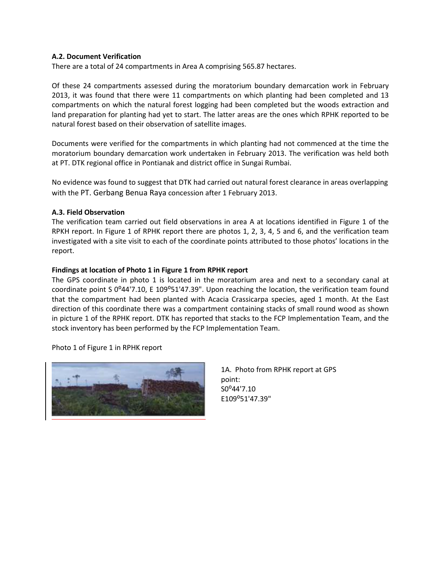#### **A.2. Document Verification**

There are a total of 24 compartments in Area A comprising 565.87 hectares.

Of these 24 compartments assessed during the moratorium boundary demarcation work in February 2013, it was found that there were 11 compartments on which planting had been completed and 13 compartments on which the natural forest logging had been completed but the woods extraction and land preparation for planting had yet to start. The latter areas are the ones which RPHK reported to be natural forest based on their observation of satellite images.

Documents were verified for the compartments in which planting had not commenced at the time the moratorium boundary demarcation work undertaken in February 2013. The verification was held both at PT. DTK regional office in Pontianak and district office in Sungai Rumbai.

No evidence was found to suggest that DTK had carried out natural forest clearance in areas overlapping with the PT. Gerbang Benua Raya concession after 1 February 2013.

#### **A.3. Field Observation**

The verification team carried out field observations in area A at locations identified in Figure 1 of the RPKH report. In Figure 1 of RPHK report there are photos 1, 2, 3, 4, 5 and 6, and the verification team investigated with a site visit to each of the coordinate points attributed to those photos' locations in the report.

#### **Findings at location of Photo 1 in Figure 1 from RPHK report**

The GPS coordinate in photo 1 is located in the moratorium area and next to a secondary canal at coordinate point S 0°44'7.10, E 109°51'47.39". Upon reaching the location, the verification team found that the compartment had been planted with Acacia Crassicarpa species, aged 1 month. At the East direction of this coordinate there was a compartment containing stacks of small round wood as shown in picture 1 of the RPHK report. DTK has reported that stacks to the FCP Implementation Team, and the stock inventory has been performed by the FCP Implementation Team.

Photo 1 of Figure 1 in RPHK report



1A. Photo from RPHK report at GPS point: S0<sup>o</sup>44'7.10 E109⁰51'47.39"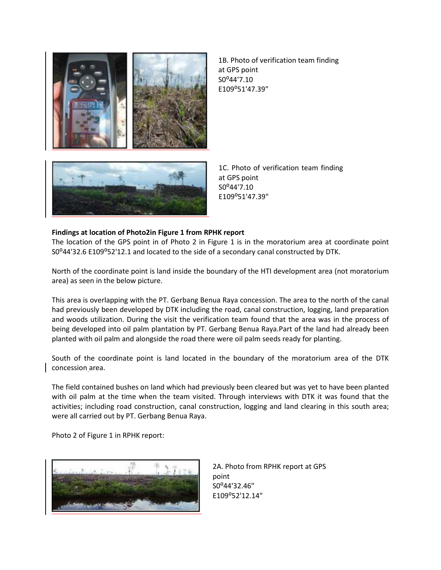

1B. Photo of verification team finding at GPS point S0<sup>o</sup>44'7.10 E109⁰51'47.39"

1C. Photo of verification team finding at GPS point S0⁰44'7.10 E109⁰51'47.39"

#### **Findings at location of Photo2in Figure 1 from RPHK report**

The location of the GPS point in of Photo 2 in Figure 1 is in the moratorium area at coordinate point S0°44'32.6 E109°52'12.1 and located to the side of a secondary canal constructed by DTK.

North of the coordinate point is land inside the boundary of the HTI development area (not moratorium area) as seen in the below picture.

This area is overlapping with the PT. Gerbang Benua Raya concession. The area to the north of the canal had previously been developed by DTK including the road, canal construction, logging, land preparation and woods utilization. During the visit the verification team found that the area was in the process of being developed into oil palm plantation by PT. Gerbang Benua Raya.Part of the land had already been planted with oil palm and alongside the road there were oil palm seeds ready for planting.

South of the coordinate point is land located in the boundary of the moratorium area of the DTK concession area.

The field contained bushes on land which had previously been cleared but was yet to have been planted with oil palm at the time when the team visited. Through interviews with DTK it was found that the activities; including road construction, canal construction, logging and land clearing in this south area; were all carried out by PT. Gerbang Benua Raya.

Photo 2 of Figure 1 in RPHK report:



2A. Photo from RPHK report at GPS point S0°44'32.46" E109⁰52'12.14"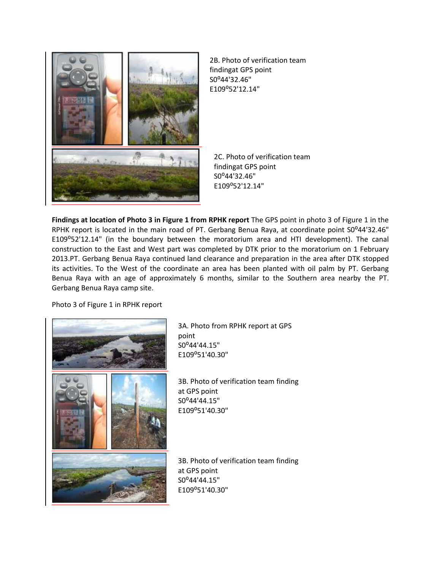

2B. Photo of verification team findingat GPS point S0°44'32.46" E109⁰52'12.14"

2C. Photo of verification team findingat GPS point S0°44'32.46" E109⁰52'12.14"

**Findings at location of Photo 3 in Figure 1 from RPHK report** The GPS point in photo 3 of Figure 1 in the RPHK report is located in the main road of PT. Gerbang Benua Raya, at coordinate point S0°44'32.46" E109°52'12.14" (in the boundary between the moratorium area and HTI development). The canal construction to the East and West part was completed by DTK prior to the moratorium on 1 February 2013.PT. Gerbang Benua Raya continued land clearance and preparation in the area after DTK stopped its activities. To the West of the coordinate an area has been planted with oil palm by PT. Gerbang Benua Raya with an age of approximately 6 months, similar to the Southern area nearby the PT. Gerbang Benua Raya camp site.

Photo 3 of Figure 1 in RPHK report



3A. Photo from RPHK report at GPS point S0⁰44'44.15" E109⁰51'40.30"

3B. Photo of verification team finding at GPS point S0°44'44.15" E109⁰51'40.30"

3B. Photo of verification team finding at GPS point S0°44'44.15" E109⁰51'40.30"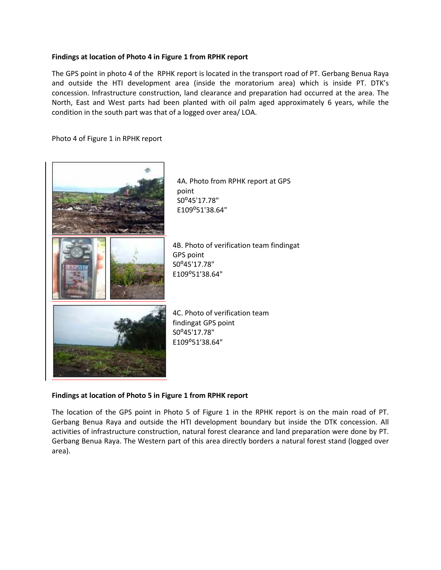### **Findings at location of Photo 4 in Figure 1 from RPHK report**

The GPS point in photo 4 of the RPHK report is located in the transport road of PT. Gerbang Benua Raya and outside the HTI development area (inside the moratorium area) which is inside PT. DTK's concession. Infrastructure construction, land clearance and preparation had occurred at the area. The North, East and West parts had been planted with oil palm aged approximately 6 years, while the condition in the south part was that of a logged over area/ LOA.

Photo 4 of Figure 1 in RPHK report



### **Findings at location of Photo 5 in Figure 1 from RPHK report**

The location of the GPS point in Photo 5 of Figure 1 in the RPHK report is on the main road of PT. Gerbang Benua Raya and outside the HTI development boundary but inside the DTK concession. All activities of infrastructure construction, natural forest clearance and land preparation were done by PT. Gerbang Benua Raya. The Western part of this area directly borders a natural forest stand (logged over area).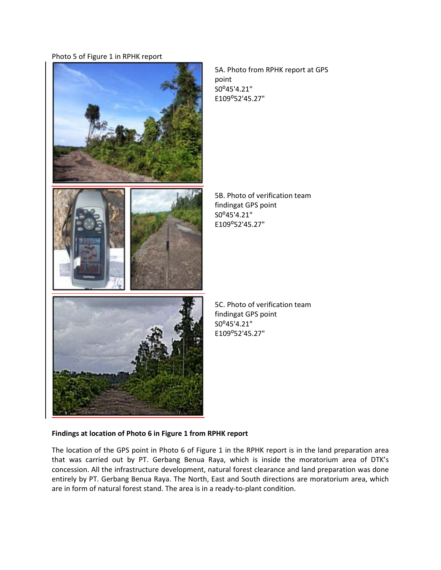Photo 5 of Figure 1 in RPHK report



5A. Photo from RPHK report at GPS point S0⁰45'4.21" E109⁰52'45.27"

5B. Photo of verification team findingat GPS point S0°45'4.21" E109⁰52'45.27"

5C. Photo of verification team findingat GPS point S0⁰45'4.21" E109⁰52'45.27"

### **Findings at location of Photo 6 in Figure 1 from RPHK report**

The location of the GPS point in Photo 6 of Figure 1 in the RPHK report is in the land preparation area that was carried out by PT. Gerbang Benua Raya, which is inside the moratorium area of DTK's concession. All the infrastructure development, natural forest clearance and land preparation was done entirely by PT. Gerbang Benua Raya. The North, East and South directions are moratorium area, which are in form of natural forest stand. The area is in a ready-to-plant condition.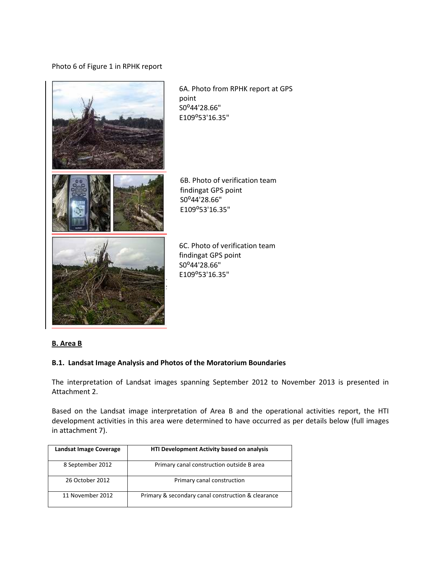Photo 6 of Figure 1 in RPHK report



6A. Photo from RPHK report at GPS point S0°44'28.66" E109⁰53'16.35"

6B. Photo of verification team findingat GPS point S0°44'28.66" E109⁰53'16.35"

6C. Photo of verification team findingat GPS point S0⁰44'28.66" E109⁰53'16.35"

### **B. Area B**

### **B.1. Landsat Image Analysis and Photos of the Moratorium Boundaries**

The interpretation of Landsat images spanning September 2012 to November 2013 is presented in Attachment 2.

Based on the Landsat image interpretation of Area B and the operational activities report, the HTI development activities in this area were determined to have occurred as per details below (full images in attachment 7).

| Landsat Image Coverage | HTI Development Activity based on analysis         |  |  |
|------------------------|----------------------------------------------------|--|--|
| 8 September 2012       | Primary canal construction outside B area          |  |  |
| 26 October 2012        | Primary canal construction                         |  |  |
| 11 November 2012       | Primary & secondary canal construction & clearance |  |  |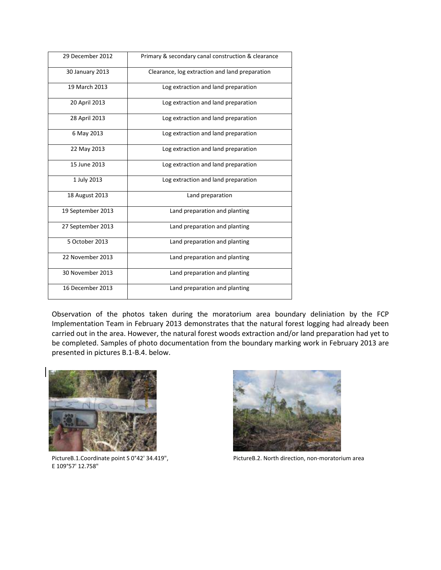| 29 December 2012  | Primary & secondary canal construction & clearance |  |  |  |
|-------------------|----------------------------------------------------|--|--|--|
| 30 January 2013   | Clearance, log extraction and land preparation     |  |  |  |
| 19 March 2013     | Log extraction and land preparation                |  |  |  |
| 20 April 2013     | Log extraction and land preparation                |  |  |  |
| 28 April 2013     | Log extraction and land preparation                |  |  |  |
| 6 May 2013        | Log extraction and land preparation                |  |  |  |
| 22 May 2013       | Log extraction and land preparation                |  |  |  |
| 15 June 2013      | Log extraction and land preparation                |  |  |  |
| 1 July 2013       | Log extraction and land preparation                |  |  |  |
| 18 August 2013    | Land preparation                                   |  |  |  |
| 19 September 2013 | Land preparation and planting                      |  |  |  |
| 27 September 2013 | Land preparation and planting                      |  |  |  |
| 5 October 2013    | Land preparation and planting                      |  |  |  |
| 22 November 2013  | Land preparation and planting                      |  |  |  |
| 30 November 2013  | Land preparation and planting                      |  |  |  |
| 16 December 2013  | Land preparation and planting                      |  |  |  |

Observation of the photos taken during the moratorium area boundary deliniation by the FCP Implementation Team in February 2013 demonstrates that the natural forest logging had already been carried out in the area. However, the natural forest woods extraction and/or land preparation had yet to be completed. Samples of photo documentation from the boundary marking work in February 2013 are presented in pictures B.1-B.4. below.



E 109°57' 12.758"



PictureB.1.Coordinate point S 0°42' 34.419", PictureB.2. North direction, non-moratorium area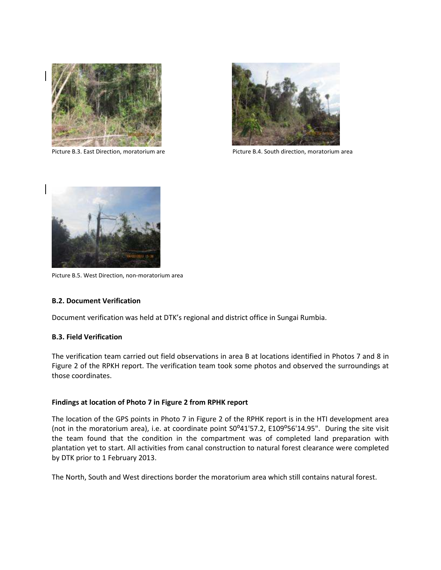



Picture B.3. East Direction, moratorium are Picture B.4. South direction, moratorium area



Picture B.5. West Direction, non-moratorium area

#### **B.2. Document Verification**

Document verification was held at DTK's regional and district office in Sungai Rumbia.

#### **B.3. Field Verification**

The verification team carried out field observations in area B at locations identified in Photos 7 and 8 in Figure 2 of the RPKH report. The verification team took some photos and observed the surroundings at those coordinates.

#### **Findings at location of Photo 7 in Figure 2 from RPHK report**

The location of the GPS points in Photo 7 in Figure 2 of the RPHK report is in the HTI development area (not in the moratorium area), i.e. at coordinate point S0°41'57.2, E109°56'14.95". During the site visit the team found that the condition in the compartment was of completed land preparation with plantation yet to start. All activities from canal construction to natural forest clearance were completed by DTK prior to 1 February 2013.

The North, South and West directions border the moratorium area which still contains natural forest.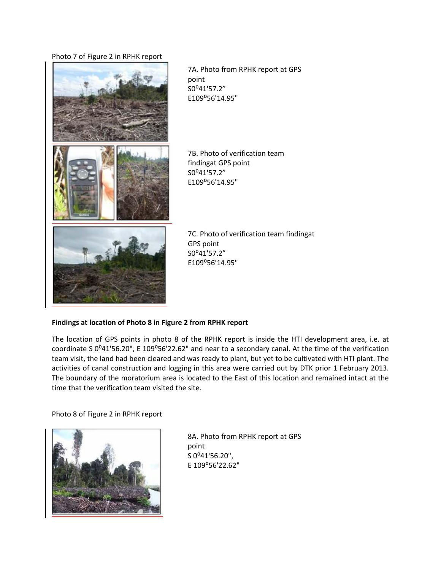#### Photo 7 of Figure 2 in RPHK report



7A. Photo from RPHK report at GPS point S0<sup>o</sup>41'57.2" E109⁰56'14.95"

7B. Photo of verification team findingat GPS point S0⁰41'57.2" E109⁰56'14.95"



7C. Photo of verification team findingat GPS point S0<sup>o</sup>41'57.2" E109⁰56'14.95"

### **Findings at location of Photo 8 in Figure 2 from RPHK report**

The location of GPS points in photo 8 of the RPHK report is inside the HTI development area, i.e. at coordinate S 0°41'56.20", E 109°56'22.62" and near to a secondary canal. At the time of the verification team visit, the land had been cleared and was ready to plant, but yet to be cultivated with HTI plant. The activities of canal construction and logging in this area were carried out by DTK prior 1 February 2013. The boundary of the moratorium area is located to the East of this location and remained intact at the time that the verification team visited the site.

Photo 8 of Figure 2 in RPHK report



8A. Photo from RPHK report at GPS point S 0°41'56.20", E 109⁰56'22.62"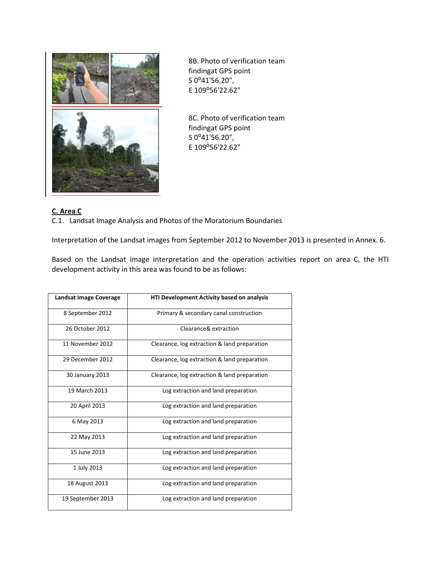

8B. Photo of verification team findingat GPS point S 0°41'56.20", E 109⁰56'22.62"

8C. Photo of verification team findingat GPS point S 0°41'56.20", E 109⁰56'22.62"

### **C. Area C**

C.1. Landsat Image Analysis and Photos of the Moratorium Boundaries

Interpretation of the Landsat images from September 2012 to November 2013 is presented in Annex. 6.

Based on the Landsat image interpretation and the operation activities report on area C, the HTI development activity in this area was found to be as follows:

| Landsat Image Coverage | <b>HTI Development Activity based on analysis</b> |  |  |  |
|------------------------|---------------------------------------------------|--|--|--|
| 8 September 2012       | Primary & secondary canal construction            |  |  |  |
| 26 October 2012        | Clearance& extraction                             |  |  |  |
| 11 November 2012       | Clearance, log extraction & land preparation      |  |  |  |
| 29 December 2012       | Clearance, log extraction & land preparation      |  |  |  |
| 30 January 2013        | Clearance, log extraction & land preparation      |  |  |  |
| 19 March 2013          | Log extraction and land preparation               |  |  |  |
| 20 April 2013          | Log extraction and land preparation               |  |  |  |
| 6 May 2013             | Log extraction and land preparation               |  |  |  |
| 22 May 2013            | Log extraction and land preparation               |  |  |  |
| 15 June 2013           | Log extraction and land preparation               |  |  |  |
| 1 July 2013            | Log extraction and land preparation               |  |  |  |
| 18 August 2013         | Log extraction and land preparation               |  |  |  |
| 19 September 2013      | Log extraction and land preparation               |  |  |  |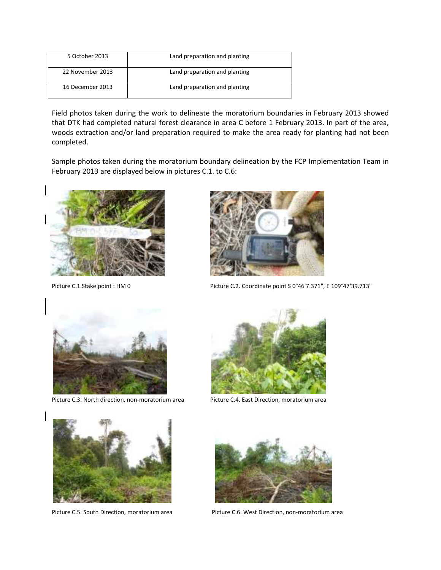| 5 October 2013   | Land preparation and planting |
|------------------|-------------------------------|
| 22 November 2013 | Land preparation and planting |
| 16 December 2013 | Land preparation and planting |

Field photos taken during the work to delineate the moratorium boundaries in February 2013 showed that DTK had completed natural forest clearance in area C before 1 February 2013. In part of the area, woods extraction and/or land preparation required to make the area ready for planting had not been completed.

Sample photos taken during the moratorium boundary delineation by the FCP Implementation Team in February 2013 are displayed below in pictures C.1. to C.6:





Picture C.1.Stake point : HM 0 Picture C.2. Coordinate point S 0°46'7.371", E 109°47'39.713"



Picture C.3. North direction, non-moratorium area Picture C.4. East Direction, moratorium area







Picture C.5. South Direction, moratorium area Picture C.6. West Direction, non-moratorium area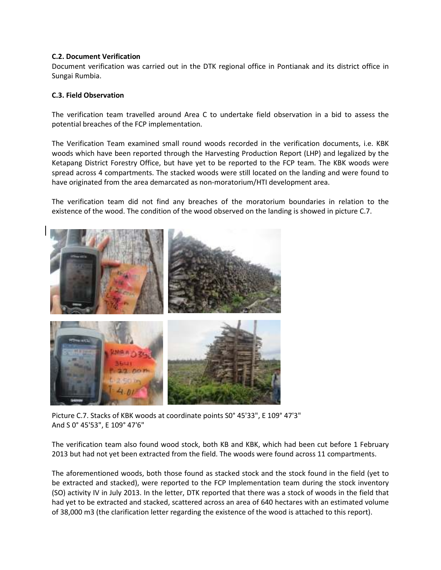#### **C.2. Document Verification**

Document verification was carried out in the DTK regional office in Pontianak and its district office in Sungai Rumbia.

#### **C.3. Field Observation**

The verification team travelled around Area C to undertake field observation in a bid to assess the potential breaches of the FCP implementation.

The Verification Team examined small round woods recorded in the verification documents, i.e. KBK woods which have been reported through the Harvesting Production Report (LHP) and legalized by the Ketapang District Forestry Office, but have yet to be reported to the FCP team. The KBK woods were spread across 4 compartments. The stacked woods were still located on the landing and were found to have originated from the area demarcated as non-moratorium/HTI development area.

The verification team did not find any breaches of the moratorium boundaries in relation to the existence of the wood. The condition of the wood observed on the landing is showed in picture C.7.



Picture C.7. Stacks of KBK woods at coordinate points S0° 45'33", E 109° 47'3" And S 0° 45'53", E 109° 47'6"

The verification team also found wood stock, both KB and KBK, which had been cut before 1 February 2013 but had not yet been extracted from the field. The woods were found across 11 compartments.

The aforementioned woods, both those found as stacked stock and the stock found in the field (yet to be extracted and stacked), were reported to the FCP Implementation team during the stock inventory (SO) activity IV in July 2013. In the letter, DTK reported that there was a stock of woods in the field that had yet to be extracted and stacked, scattered across an area of 640 hectares with an estimated volume of 38,000 m3 (the clarification letter regarding the existence of the wood is attached to this report).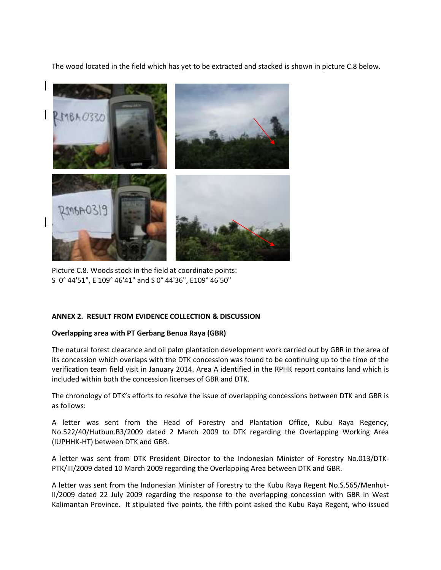The wood located in the field which has yet to be extracted and stacked is shown in picture C.8 below.



Picture C.8. Woods stock in the field at coordinate points: S 0° 44'51", E 109° 46'41" and S 0° 44'36", E109° 46'50"

### **ANNEX 2. RESULT FROM EVIDENCE COLLECTION & DISCUSSION**

### **Overlapping area with PT Gerbang Benua Raya (GBR)**

The natural forest clearance and oil palm plantation development work carried out by GBR in the area of its concession which overlaps with the DTK concession was found to be continuing up to the time of the verification team field visit in January 2014. Area A identified in the RPHK report contains land which is included within both the concession licenses of GBR and DTK.

The chronology of DTK's efforts to resolve the issue of overlapping concessions between DTK and GBR is as follows:

A letter was sent from the Head of Forestry and Plantation Office, Kubu Raya Regency, No.522/40/Hutbun.B3/2009 dated 2 March 2009 to DTK regarding the Overlapping Working Area (IUPHHK-HT) between DTK and GBR.

A letter was sent from DTK President Director to the Indonesian Minister of Forestry No.013/DTK-PTK/III/2009 dated 10 March 2009 regarding the Overlapping Area between DTK and GBR.

A letter was sent from the Indonesian Minister of Forestry to the Kubu Raya Regent No.S.565/Menhut-II/2009 dated 22 July 2009 regarding the response to the overlapping concession with GBR in West Kalimantan Province. It stipulated five points, the fifth point asked the Kubu Raya Regent, who issued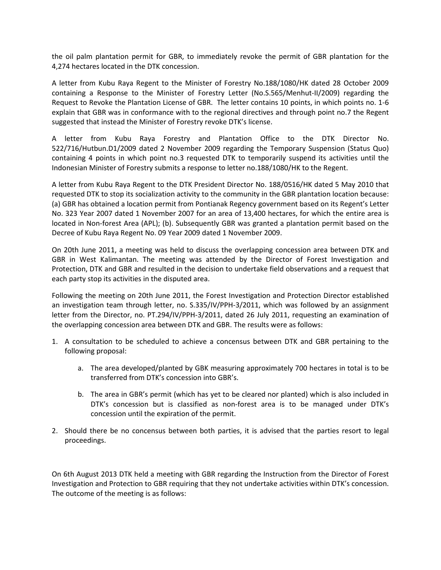the oil palm plantation permit for GBR, to immediately revoke the permit of GBR plantation for the 4,274 hectares located in the DTK concession.

A letter from Kubu Raya Regent to the Minister of Forestry No.188/1080/HK dated 28 October 2009 containing a Response to the Minister of Forestry Letter (No.S.565/Menhut-II/2009) regarding the Request to Revoke the Plantation License of GBR. The letter contains 10 points, in which points no. 1-6 explain that GBR was in conformance with to the regional directives and through point no.7 the Regent suggested that instead the Minister of Forestry revoke DTK's license.

A letter from Kubu Raya Forestry and Plantation Office to the DTK Director No. 522/716/Hutbun.D1/2009 dated 2 November 2009 regarding the Temporary Suspension (Status Quo) containing 4 points in which point no.3 requested DTK to temporarily suspend its activities until the Indonesian Minister of Forestry submits a response to letter no.188/1080/HK to the Regent.

A letter from Kubu Raya Regent to the DTK President Director No. 188/0516/HK dated 5 May 2010 that requested DTK to stop its socialization activity to the community in the GBR plantation location because: (a) GBR has obtained a location permit from Pontianak Regency government based on its Regent's Letter No. 323 Year 2007 dated 1 November 2007 for an area of 13,400 hectares, for which the entire area is located in Non-forest Area (APL); (b). Subsequently GBR was granted a plantation permit based on the Decree of Kubu Raya Regent No. 09 Year 2009 dated 1 November 2009.

On 20th June 2011, a meeting was held to discuss the overlapping concession area between DTK and GBR in West Kalimantan. The meeting was attended by the Director of Forest Investigation and Protection, DTK and GBR and resulted in the decision to undertake field observations and a request that each party stop its activities in the disputed area.

Following the meeting on 20th June 2011, the Forest Investigation and Protection Director established an investigation team through letter, no. S.335/IV/PPH-3/2011, which was followed by an assignment letter from the Director, no. PT.294/IV/PPH-3/2011, dated 26 July 2011, requesting an examination of the overlapping concession area between DTK and GBR. The results were as follows:

- 1. A consultation to be scheduled to achieve a concensus between DTK and GBR pertaining to the following proposal:
	- a. The area developed/planted by GBK measuring approximately 700 hectares in total is to be transferred from DTK's concession into GBR's.
	- b. The area in GBR's permit (which has yet to be cleared nor planted) which is also included in DTK's concession but is classified as non-forest area is to be managed under DTK's concession until the expiration of the permit.
- 2. Should there be no concensus between both parties, it is advised that the parties resort to legal proceedings.

On 6th August 2013 DTK held a meeting with GBR regarding the Instruction from the Director of Forest Investigation and Protection to GBR requiring that they not undertake activities within DTK's concession. The outcome of the meeting is as follows: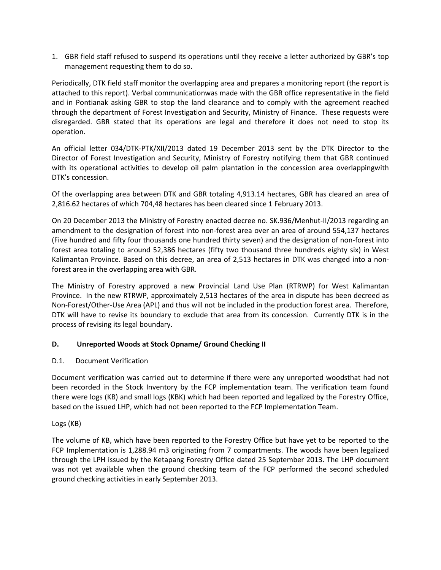1. GBR field staff refused to suspend its operations until they receive a letter authorized by GBR's top management requesting them to do so.

Periodically, DTK field staff monitor the overlapping area and prepares a monitoring report (the report is attached to this report). Verbal communicationwas made with the GBR office representative in the field and in Pontianak asking GBR to stop the land clearance and to comply with the agreement reached through the department of Forest Investigation and Security, Ministry of Finance. These requests were disregarded. GBR stated that its operations are legal and therefore it does not need to stop its operation.

An official letter 034/DTK-PTK/XII/2013 dated 19 December 2013 sent by the DTK Director to the Director of Forest Investigation and Security, Ministry of Forestry notifying them that GBR continued with its operational activities to develop oil palm plantation in the concession area overlappingwith DTK's concession.

Of the overlapping area between DTK and GBR totaling 4,913.14 hectares, GBR has cleared an area of 2,816.62 hectares of which 704,48 hectares has been cleared since 1 February 2013.

On 20 December 2013 the Ministry of Forestry enacted decree no. SK.936/Menhut-II/2013 regarding an amendment to the designation of forest into non-forest area over an area of around 554,137 hectares (Five hundred and fifty four thousands one hundred thirty seven) and the designation of non-forest into forest area totaling to around 52,386 hectares (fifty two thousand three hundreds eighty six) in West Kalimantan Province. Based on this decree, an area of 2,513 hectares in DTK was changed into a nonforest area in the overlapping area with GBR.

The Ministry of Forestry approved a new Provincial Land Use Plan (RTRWP) for West Kalimantan Province. In the new RTRWP, approximately 2,513 hectares of the area in dispute has been decreed as Non-Forest/Other-Use Area (APL) and thus will not be included in the production forest area. Therefore, DTK will have to revise its boundary to exclude that area from its concession. Currently DTK is in the process of revising its legal boundary.

### **D. Unreported Woods at Stock Opname/ Ground Checking II**

### D.1. Document Verification

Document verification was carried out to determine if there were any unreported woodsthat had not been recorded in the Stock Inventory by the FCP implementation team. The verification team found there were logs (KB) and small logs (KBK) which had been reported and legalized by the Forestry Office, based on the issued LHP, which had not been reported to the FCP Implementation Team.

### Logs (KB)

The volume of KB, which have been reported to the Forestry Office but have yet to be reported to the FCP Implementation is 1,288.94 m3 originating from 7 compartments. The woods have been legalized through the LPH issued by the Ketapang Forestry Office dated 25 September 2013. The LHP document was not yet available when the ground checking team of the FCP performed the second scheduled ground checking activities in early September 2013.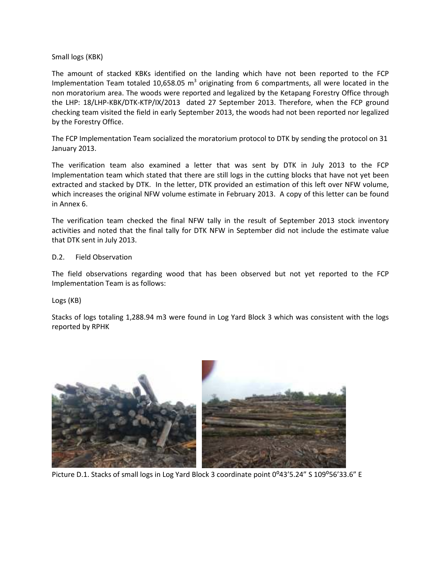### Small logs (KBK)

The amount of stacked KBKs identified on the landing which have not been reported to the FCP Implementation Team totaled 10,658.05 m<sup>3</sup> originating from 6 compartments, all were located in the non moratorium area. The woods were reported and legalized by the Ketapang Forestry Office through the LHP: 18/LHP-KBK/DTK-KTP/IX/2013 dated 27 September 2013. Therefore, when the FCP ground checking team visited the field in early September 2013, the woods had not been reported nor legalized by the Forestry Office.

The FCP Implementation Team socialized the moratorium protocol to DTK by sending the protocol on 31 January 2013.

The verification team also examined a letter that was sent by DTK in July 2013 to the FCP Implementation team which stated that there are still logs in the cutting blocks that have not yet been extracted and stacked by DTK. In the letter, DTK provided an estimation of this left over NFW volume, which increases the original NFW volume estimate in February 2013. A copy of this letter can be found in Annex 6.

The verification team checked the final NFW tally in the result of September 2013 stock inventory activities and noted that the final tally for DTK NFW in September did not include the estimate value that DTK sent in July 2013.

#### D.2. Field Observation

The field observations regarding wood that has been observed but not yet reported to the FCP Implementation Team is as follows:

Logs (KB)

Stacks of logs totaling 1,288.94 m3 were found in Log Yard Block 3 which was consistent with the logs reported by RPHK



Picture D.1. Stacks of small logs in Log Yard Block 3 coordinate point 0°43'5.24" S 109°56'33.6" E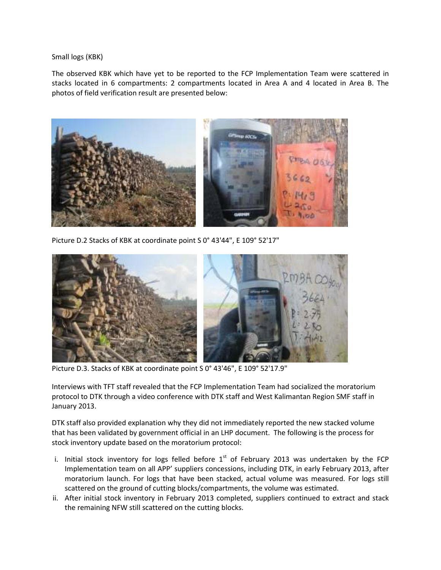Small logs (KBK)

The observed KBK which have yet to be reported to the FCP Implementation Team were scattered in stacks located in 6 compartments: 2 compartments located in Area A and 4 located in Area B. The photos of field verification result are presented below:



Picture D.2 Stacks of KBK at coordinate point S 0° 43'44", E 109° 52'17"



Picture D.3. Stacks of KBK at coordinate point S 0° 43'46", E 109° 52'17.9"

Interviews with TFT staff revealed that the FCP Implementation Team had socialized the moratorium protocol to DTK through a video conference with DTK staff and West Kalimantan Region SMF staff in January 2013.

DTK staff also provided explanation why they did not immediately reported the new stacked volume that has been validated by government official in an LHP document. The following is the process for stock inventory update based on the moratorium protocol:

- i. Initial stock inventory for logs felled before  $1<sup>st</sup>$  of February 2013 was undertaken by the FCP Implementation team on all APP' suppliers concessions, including DTK, in early February 2013, after moratorium launch. For logs that have been stacked, actual volume was measured. For logs still scattered on the ground of cutting blocks/compartments, the volume was estimated.
- ii. After initial stock inventory in February 2013 completed, suppliers continued to extract and stack the remaining NFW still scattered on the cutting blocks.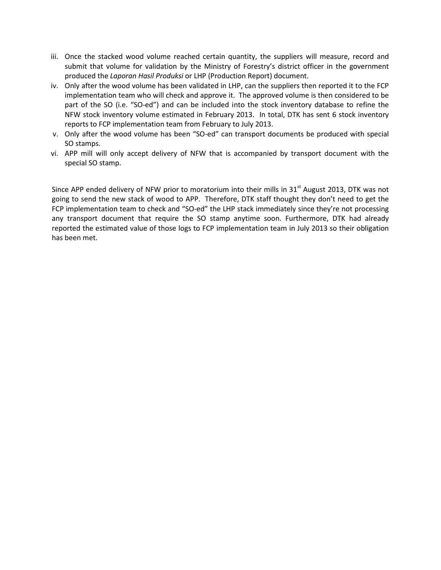- iii. Once the stacked wood volume reached certain quantity, the suppliers will measure, record and submit that volume for validation by the Ministry of Forestry's district officer in the government produced the *Laporan Hasil Produksi* or LHP (Production Report) document.
- iv. Only after the wood volume has been validated in LHP, can the suppliers then reported it to the FCP implementation team who will check and approve it. The approved volume is then considered to be part of the SO (i.e. "SO-ed") and can be included into the stock inventory database to refine the NFW stock inventory volume estimated in February 2013. In total, DTK has sent 6 stock inventory reports to FCP implementation team from February to July 2013.
- v. Only after the wood volume has been "SO-ed" can transport documents be produced with special SO stamps.
- vi. APP mill will only accept delivery of NFW that is accompanied by transport document with the special SO stamp.

Since APP ended delivery of NFW prior to moratorium into their mills in 31 $^{\text{st}}$  August 2013, DTK was not going to send the new stack of wood to APP. Therefore, DTK staff thought they don't need to get the FCP implementation team to check and "SO-ed" the LHP stack immediately since they're not processing any transport document that require the SO stamp anytime soon. Furthermore, DTK had already reported the estimated value of those logs to FCP implementation team in July 2013 so their obligation has been met.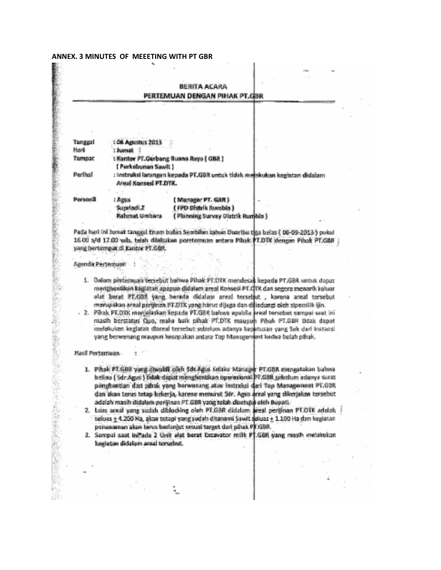#### ANNEX. 3 MINUTES OF MEEETING WITH PT GBR

#### **BERITA ACARA** PERTEMUAN DENGAN PIHAK PT.GBR

| Tanggal         | : 06 Agustus 2013    |                                                                           |     |
|-----------------|----------------------|---------------------------------------------------------------------------|-----|
| Hari            | : Jumat              |                                                                           |     |
| Tempat          |                      | : Kantor PT.Gerbang Guana Raya (GBR)                                      |     |
|                 | ( Perkebunan Sawit ) |                                                                           |     |
| <b>Parlies!</b> | Areal Konsed PT.DTK. | : Instruksi larangan kepada PT.GBR untuk tidak melekukan kegiatan didalam |     |
|                 |                      |                                                                           |     |
|                 | $:$ Apars            | (Manager PT, GBR)                                                         | in. |
|                 | Sunded Z             | (FPD Distrik Rombia)                                                      |     |
|                 | Baharat.             | f Disposition Converse Oberatic Organizing                                |     |

Pada hari ini Jumat tanggal Enam bulan Sembilan Ishun Duaribu tiga belas ( 06-09-2013 ) pokul 16.00 s/d 17.00 vab, telah dilakukan peretemuan antara Pihak TLDTK dengan Pihak PT/GBH j yang bertampat di Kantor PT.G&R.

#### Agenda Pertemuan :

- 1. Dalam pertempan tersebut bahwa Pihak PT.DTK mendesas kepada PT.GBA untuk dapat medghentikan kaglatan apapun didulam areal Konseji PT.DTK dan segera menarik kaluar alat berat PT.GBR yang berada didalam areal tersebut, karena areal tersebut merupakan araal perginan PT.DTK yang harus dijaga dan dijadungi oleh sipemlik ian.
- 2. Pihak PF.DTK menjalaskan kopada PF.GBR bahwa upabila kecal tersobut sompai saat ini masih berstatus Quo, maka baik pihak PT,DTK mauguh Pihak PT.GBR tidak dapat melokukan kegiatan diareal tersebut sebelum adanya kepatusan yang Sak dari Instansi yang berwenang oraupun kesepakan antara Top Management kedua belah pihak.

#### Hasil Pertentuan

ċ.

「そのこのことを見ることに、そのことに、このことに、このことに、このことに、このこと、このこと、このことに、このことに、このことに、このことに、このことに、このことに、このことに、このことに、このこと

- 1. Pihak PT GBR yang diwakil oleh Societas Kelaku Manager PT GBR mengatakan bahwa beliau (Sdr.Agus) bidak dapat menghentikan operasional PT.GBB sebelum adawa surat pängbantian dari piltak yang barwanang atau instruksi dari Top Managemont PT.GBR dan akan terus tetap bekerja, karena menurut Sar. Agus areal yang dikerjakan tersebut
- adalah masih didalam penjinan PT.GBR yang telah disetujuk oleh Bupati.<br>2. Leas areal yang sudah dialooking oleh PT.GBR didalam areal perijinan PT.DTK adalah sekuas ± 4.200 Ha, akan tetapi yang sudah ditanami Sawit sekuas ± penanaman akan terus berlanjut sesuai target dari pihak PJFJSBR.
- 3. Sampai saat ini ada 2 Unit alat berat Excavator milk PT.GBR yang masih melakukan kegiatan didalam anal temebut.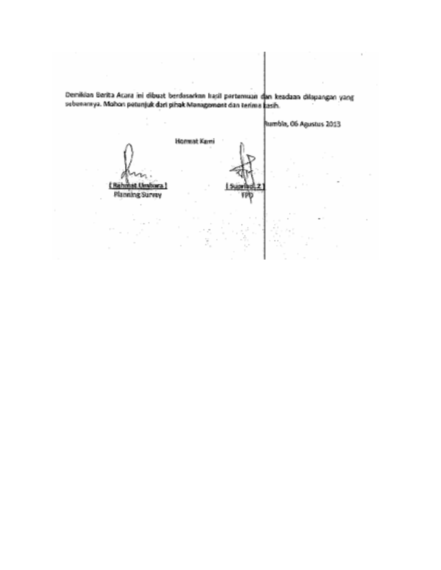Demikian Berita Acara ini dibuat bendasarkan hasil pertemuan dan keadaan dilapangan yang sebenarnya. Mohon petunjuk dari pihak Management dan terima kasih.

> Hormat Kami **Littings Unv**

**Planning Survey** 



Rumbia, 06 Agustus 2013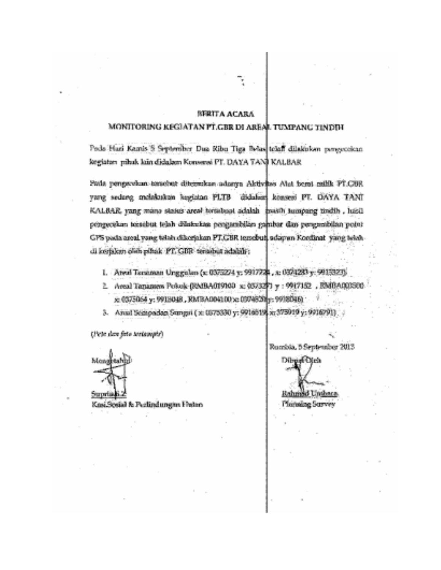### **SFRITA ACARA**

### MONITORING KEGIATAN PT.GBR DI AREAL TUMPANC TINDIN

Feds Hari Kamis S September Dua Kibu Tiga Belas telah dilakukan pengecekan kegiatan pihak kiin didalam Konserai PT. DAYA TANJ KALBAR

Patia pengarakan tarashut ditemukan adanya Aktivitas Alat bend milik PT.CRR. yang sedang melakukan lugiatan PLTB didakan konsert PT. DAYA TANI KALBAR, yang mana status areal tertabaat adalah guisth tumpang tindih , luatipongecekin kessebut telah dilakukan pengambilan gambar dan pengumbilan potut GPS pada areal yang tidak dikerjakan PT.GBR tengbut, adapan Konfinat yang tetahdi korfakun oleh pihak. PT, GBR tersebut adalah :

- 1. Atest Tanaman Unggalan (s. 0372274 v. 9917226, x. 0374283 y. 9915323).
- 2. Areal Tananess Polock-(RMBA019100 sc 0573271 y : 9917182 ; RMBA000500 x: 0375064 y: 9918048, RMBA004100 x: 0374820 y: 9918046) .
- 3. Anual Scanpacker Sungai (x: 0375330 y: 9916518 x: 375019 y: 9916791)

(Visto das foto teritamente)



Supria Knsi Sosial & Parlindungton Freino Rumbia, 5 September 2013

Rahmad Unionca

Planadag Survey

Direct Olen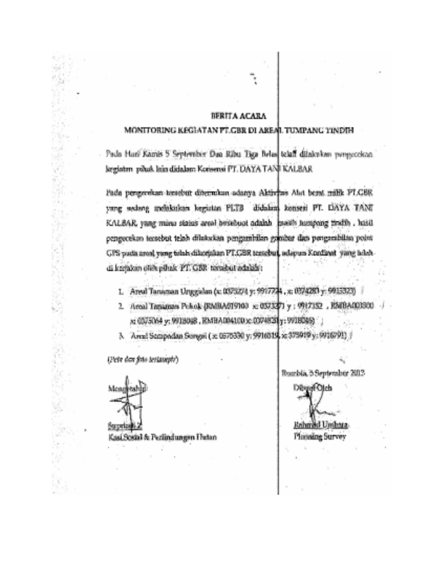### **BERITA ACARA**

### MONITORING KEGIATAN PT.GBR DI AREAL TUMPANG TINDIH

Pada Huri Kamis 5 September Dan Ribu Tiga Belas telah dilakukan penyecekan. kegiatan paluk lain didalam Koraensi PT. DAYA TANI KALBAR

Pada pengerekan tersebut ditemukan adanya Aktivfas Alat berat milik FLGBR yang sedang andakaikan kegiatan PLTB didakini konsesi PT. DAYA TANI KALBAR, yang miras status areal bristikust adalah pseidi tumpung tirafib, hasil pengecekan tersebut telah dilakukan pengunbilan gajubar dan pengarabilan point GPS pieda areal vang telah dikerjakan PT.CER tersebut, adapun Konflant 'jing adahdi krijakon otek piluak PT. GBR tarasbut adalah :

- 1. Areal Tanaman Unggalan (c. 0375274 y. 9917724, x. 0374283 y. 9915323) 3
- 2. Areal Tanaman Pekok (RMBA019103 x 057327) y : 9917152 , RMBA000300 x: 03/5064 y: 0018048 , EMBAD04100x: 0374821y: 9918049)

3. – Алекі Sempadan Sungai ( к. 0375330 у: 9916513, х; 375919 у: 9916791) /

(Pete dan fato testampic)

Monghtahip

e al  $\omega_{\rm ph}$ g.

Mb.  $\sim$   $\sim$ 

وكيرا

Ø ÷ Y.

 $\frac{1}{q}$ 

늹 W,

8V)

Y.

 $\hat{q}^{(1)}_{\parallel 1}$ 

9. G

医肝性结 Kasi Sosial & Perlindungen Flutan

Russiski, 5 September 2012

DendOlch

Rahmad Unibara **Planning Survey**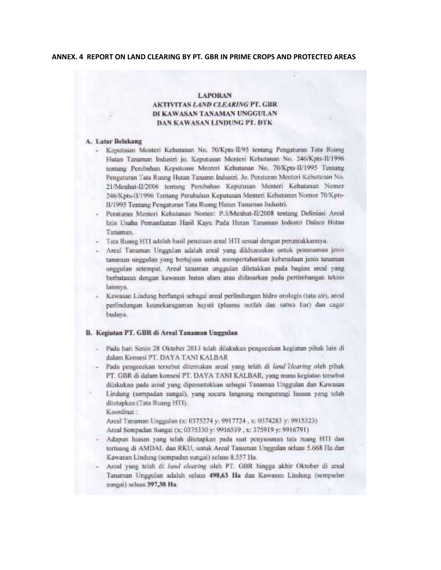#### ANNEX. 4 REPORT ON LAND CLEARING BY PT. GBR IN PRIME CROPS AND PROTECTED AREAS

#### LAPORAN AKTIVITAS LAND CLEARING PT, GBR DI KAWASAN TANAMAN UNGGULAN DAN KAWASAN LINDUNG PT. DTK

#### A. Latar Belakang

- Kepatrasan Menteri Kehutanan No. 70/Kpts-II/95 tentang Pengaturan Tata Rusing Hutan Tanaman Industri jo, Keputusan Menteri Kehutanan No. 246/Kprs-II/1996. tentang Perubahan Keputusan Menteri Kehutanan No. 70/Kpts-II/1995 Tentang Pengaturan Tata Ruang Hutan Tanama Industri. Jo. Peraharan Menteri Kehutanan No. 21/Menhut-II/2006 tentung Perubahan Keputusan Menteri Kehutanan Nomor. 246 Kpts-II/1996 Tentang Perubahan Keputusan Menteri Kebutanan Nomor 70 Kpts-II/1995 Tentang Pengaturan Tata Ruang Hutan Tanaman Industri.
- Peraturan Menteri Kehutanan Nomor: P.3/Menhut-IU2008 tentang Deliniasi Areal Izin Usaha Pemanfaatan Hasil Kayu Pada Hutan Tanaman Industri Dalam Hutan Tanaman.
- Tana Ruang HTI adalah hasil penanaan areal HTI sesuai dengan peruntukkannya:
- Areal Tanaman Unggulan adalah areal yang dikhususkan untuk penanaman jenistanaman unggulan yang bertujuan untuk mempertahankan kebenulaan jenis tanaman unggulan setempat. Areal tanaman unggulan diletakkan pada bagian areal yang berbutasan dengan kawasan hutan alam atau didasarkan pada pertimbangan teknis lainnys.
- Kawasan Lindung berfungsi sebagai areal perlindungan hidro orologis (tata air), areal perlindungan keanekaragaman hayati (plasma nutfah dan satwa liar) dan cagar budava.

#### B. Kegiatan PT. GBR di Areal Tanaman Unggulan

- Pada hari Senin 28 Oktober 2013 telah dilakukan pengecekan kegiatan pihak lain di dalam Koosesi PT, DAYA TANI KALBAR
- Pada pengecekan tersebut ditemukan areal yang telah di land klearing oleh pihak-PT. GBR di dalam konsesi PT. DAYA TANI KALBAR, yang mana kegiatan tersebut dijakukan pada areal yang dipenuntukkan sebagai Tanaman Unagdaan dan Kawasan-Lindung (sempadan sunggi), yang secara langsung mengurangi laasan yang telah ditetapkan (Tata Ruang HTT).

Koordinat:

Areal Tanaman Unggulan (x; 0375274 y; 9917724, x; 0374283 v; 9915323). Areal Sempadan Sungai (x; 0375330 y; 9916519 , x; 375919 y; 9916791)

- Adapun luasan yang telah ditetapkan pada saat penyusunan tata ruang HTI dan tertunng di AMDAL dan RKU, untuk Areal Tanaman Unggulan seluas 5.668 Hz dan Kawasan Lindung (sempadan sungai) seluas 8.557 Ha.
- Areal yang telah di Jaral elearing oleh PT. GBR hingga akhir Oktober di areal Tanaman Unggulan adalah seluas 498,63 Ha dan Kawasan Lindung (sempadan sungai) seluas 397,38 Ha.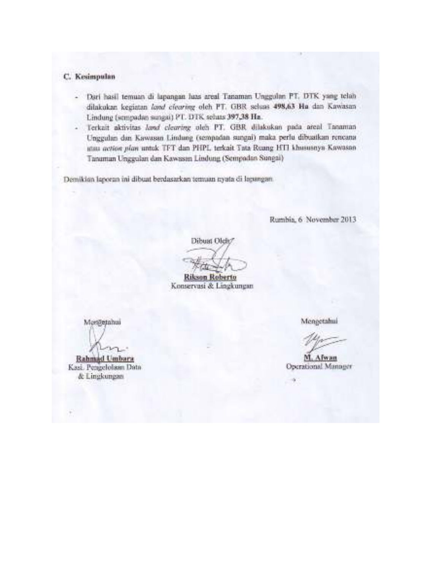# C. Kesimpulan

- Dari hasil temuan di lapangan luas areal Tanaman Unggulan PT, DTK yang telah dilakukan kegiatan land cicaring oleh PT. GBR seluas 498,63 Ha dan Kawasan Lindung (sempadan sungai) PT. DTK sehas 397,38 Hz.
- Terkait aktivitas land clearing oleh PT. GBR dilakukan pada areal Tanaman Unggulan dan Kawasan Lindung (sempadan sungai) maka perlu dibuatkan rencana atau action plan untuk TFT dan PHPL terkait Tata Reang HTI khususnya Kawasan Tanaman Unggulan dan Kawasan Lindung (Sempadan Sungai)

Demikian lagoran ini dibuat berdasarkan temaan nyata di lagangan.

Rumbia, 6 November 2013

Dibust Olde/

Rikson Roberto Konservasi & Lingkungan

Messemmi

Rahmad Umbara Kasi. Pengelolaan Data & Lingkungan

Mengetahul

M. Alwan Operational Manager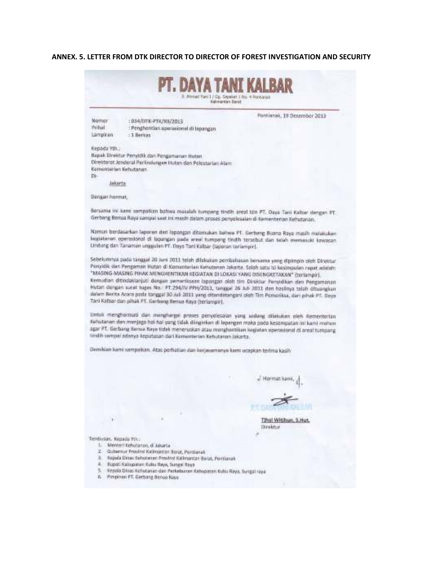### **ANNEX. 5. LETTER FROM DTK DIRECTOR TO DIRECTOR OF FOREST INVESTIGATION AND SECURITY**

|                       |                                                                                                                         | E. Allengel Yard 1./ Go., Steppert 1. No. 4 Reynologia<br>Kabroacties Sanat |                                                                                                                                                                                                               |
|-----------------------|-------------------------------------------------------------------------------------------------------------------------|-----------------------------------------------------------------------------|---------------------------------------------------------------------------------------------------------------------------------------------------------------------------------------------------------------|
|                       |                                                                                                                         |                                                                             |                                                                                                                                                                                                               |
| Nomer                 | : 034/01K-PT/201/2013                                                                                                   |                                                                             | Parabenak, 19 Desember 2013                                                                                                                                                                                   |
| Prihal                | : Penghentian operasional di lapangan                                                                                   |                                                                             |                                                                                                                                                                                                               |
| Langiran              | $+3$ Berkes                                                                                                             |                                                                             |                                                                                                                                                                                                               |
| Kenada VIII -         |                                                                                                                         |                                                                             |                                                                                                                                                                                                               |
|                       | Bapak Direktur Penvidik dan Pengamanan Hutan                                                                            |                                                                             |                                                                                                                                                                                                               |
|                       | Direktorat Jenderal Perlindungan Itutan dan Pelestarian Alam<br>Kernerrierien Kehstrann,                                |                                                                             |                                                                                                                                                                                                               |
| Di.                   |                                                                                                                         |                                                                             |                                                                                                                                                                                                               |
| Jakarta:              |                                                                                                                         |                                                                             |                                                                                                                                                                                                               |
| Dimast homet.         |                                                                                                                         |                                                                             |                                                                                                                                                                                                               |
|                       |                                                                                                                         |                                                                             |                                                                                                                                                                                                               |
|                       | Gerbang Benua Roya sampai saat ini masih dalam proses penyeksalan di Kementerian Kehutanan.                             |                                                                             | Borsama in: kami sampalkan bahwa masalah tumpang tindih areal tan PT. Daya Tani Kabur dengan PT.                                                                                                              |
|                       |                                                                                                                         |                                                                             | Namun berdatarkan laporan dari fapangan ditemukan batwa PT. Gerbang Buana Raya masih melakukan<br>kepistenen operational di lapangan pada areal tumpang tindih tersebut dan telah memasuki kawaran            |
|                       | Undung dan Tanaman unggulan PT. Daya Tani Kalbar (laponan terlampir).                                                   |                                                                             |                                                                                                                                                                                                               |
|                       |                                                                                                                         |                                                                             | Sebelumnya pada tanggal 20 hari 2011 telah dilakukan pembahasan bansama yang dipimpin oleh Direktur.                                                                                                          |
|                       |                                                                                                                         |                                                                             | Penyidik dan Pengaman Hutan di Kompoterian Kehutanan Jakarta. Salah satu isi kesimpulan repat adalah:                                                                                                         |
|                       | "MASING-MASING PIHAK MENGHENTIKAN KEGIATAN DI LOKASI YANG DISENGKETAKAN" (terlampir).                                   |                                                                             |                                                                                                                                                                                                               |
|                       |                                                                                                                         |                                                                             | Kemudian ditindaklanjuti dengan pemeriksam lagangan oleh tim Divaktur Penyidikan dan Pengamanan                                                                                                               |
|                       |                                                                                                                         |                                                                             | Hutan dengan kurat tugas No.: FT 294/W PPH/2011, tanggel 26 Adi 3011 dan hasilnya telah dituangkan<br>dalam Benta Acara poda tonggal 30 juli 2011 yang ditandatangsai oleh Tim Pemerikus, dari pihak PT. Daya |
|                       | Toni Kalbor don pihak PT, dierbang Benus Saya (terlampir).                                                              |                                                                             |                                                                                                                                                                                                               |
|                       |                                                                                                                         |                                                                             | Untuk menghormati dan menghanyai proses penyelesaian yang sedang dilakukan oleh Kementerian                                                                                                                   |
|                       | tindih sampai adamas keputusan dari Kementerian Kebutanan Jakarta.                                                      |                                                                             | Kehutanan dan menjaga hal-hal yang tidak diinginkan di lapangan maka pada kesempatan ini kanil mohon<br>scor PT. Gerbang Senua Kaya tidak meneruskan atau menghuntikan kegiatan operasional di areal tumpang  |
|                       |                                                                                                                         |                                                                             |                                                                                                                                                                                                               |
|                       | Demikian kami sampaikan. Atas perhatian dan kerjasamanya kami ucapkan terima kasih                                      |                                                                             |                                                                                                                                                                                                               |
|                       |                                                                                                                         |                                                                             |                                                                                                                                                                                                               |
|                       |                                                                                                                         |                                                                             | J. Hormat Jumi,                                                                                                                                                                                               |
|                       |                                                                                                                         |                                                                             |                                                                                                                                                                                                               |
|                       |                                                                                                                         |                                                                             |                                                                                                                                                                                                               |
|                       |                                                                                                                         |                                                                             |                                                                                                                                                                                                               |
|                       |                                                                                                                         |                                                                             |                                                                                                                                                                                                               |
|                       |                                                                                                                         |                                                                             | Tihal Witihum, S.Hut.                                                                                                                                                                                         |
|                       |                                                                                                                         |                                                                             | Direktur                                                                                                                                                                                                      |
| Tembusan, Kegada Wit. |                                                                                                                         |                                                                             |                                                                                                                                                                                                               |
|                       | L. Mercen Kehistanan, di Jakarta<br>2. Gubernur Provinsi Katimantan Barat, Pontianak                                    |                                                                             |                                                                                                                                                                                                               |
|                       |                                                                                                                         |                                                                             |                                                                                                                                                                                                               |
|                       | 3. Sepala Dinas Kebutango Provinsi Keleyantan Rayar, Pontianak                                                          |                                                                             |                                                                                                                                                                                                               |
|                       | 4 BLD05 Kabupater Kutu Ilaya, Sungai Raya<br>5 - Repola Dinas Kehudanan dan Perkeburan Kabupaten Kubo Raya, Songal raya |                                                                             |                                                                                                                                                                                                               |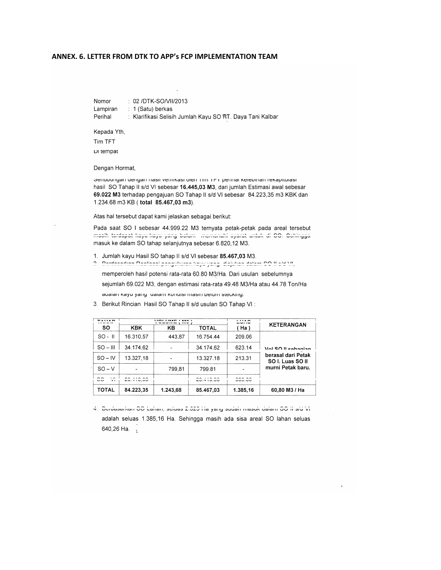#### ANNEX. 6. LETTER FROM DTK TO APP'S FCP IMPLEMENTATION TEAM

Nomor : 02 /DTK-SO/VII/2013 Lampiran : 1 (Satu) berkas Perihal : Klarifikasi Selisih Jumlah Kayu SO PT. Daya Tani Kalbar

Kepada Yth,

Tim TFT Di tempat

Dengan Hormat,

Senubungan dengan nasir verilikasi oleh Tim TFT perinal kelebihan rekapitulasi hasil SO Tahap II s/d VI sebesar 16.445,03 M3, dari jumlah Estimasi awal sebesar 69.022 M3 terhadap pengajuan SO Tahap II s/d VI sebesar 84.223,35 m3 KBK dan 1.234.68 m3 KB (total 85.467,03 m3).

Atas hal tersebut dapat kami jelaskan sebagai berikut:

Pada saat SO I sebesar 44.999.22 M3 ternyata petak-petak pada areal tersebut maalh tardapat hayu hayu yang baham memenuhi ayarat untuk di OO. Ochingga masuk ke dalam SO tahap selanjutnya sebesar 6.820,12 M3.

- 1. Jumlah kayu Hasil SO tahap II s/d VI sebesar 85.467,03 M3.
- 2. Perdecentian Declicedi pengulawan lengu yang silah lain salam CO II eta VI., memperoleh hasil potensi rata-rata 60.80 M3/Ha. Dari usulan sebelumnya sejumlah 69.022 M3, dengan estimasi rata-rata 49.48 M3/Ha atau 44.78 Ton/Ha auaian kayu yang dalam kunulai masih belum stecking.

| <br>.                                                   | <b>MALLINEY LEAN</b><br>.<br>1.1114 |          | <b><i><u><u><u></u></u></u></i></b><br><u>Lunu</u> | <b>KETERANGAN</b> |                                                                                   |
|---------------------------------------------------------|-------------------------------------|----------|----------------------------------------------------|-------------------|-----------------------------------------------------------------------------------|
| <b>SO</b>                                               | <b>KBK</b>                          | KΒ       | <b>TOTAL</b>                                       | $Ha$ )            |                                                                                   |
| $SO - II$                                               | 16.310.57                           | 443.87   | 16.754.44                                          | 209.06            | Vol SO II sebagian<br>berasal dari Petak<br>SO I. Luas SO II<br>murni Petak baru. |
| $SO - III$                                              | 34.174.62                           |          | 34.174,62                                          | 623.14            |                                                                                   |
| $SO - IV$                                               | 13.327,18                           |          | 13.327.18                                          | 213.31            |                                                                                   |
| $SO - V$                                                |                                     | 799,81   | 799.81                                             |                   |                                                                                   |
| $\sim$<br>$\mathbf{v}$<br>$\smallsmile$<br>$\mathbf{v}$ | 00.110.00<br>$-0.710,00$            |          | 00.110.00<br>$-0.710.00$                           | 0.0000<br>ouu.uu  |                                                                                   |
| <b>TOTAL</b>                                            | 84.223.35                           | 1.243,68 | 85.467.03                                          | 1.385,16          | 60,80 M3 / Ha                                                                     |

3. Berikut Rincian Hasil SO Tahap II s/d usulan SO Tahap VI:

4. Deruasarkan GO Lahan, seluas 2.020 na yang sudah masuk dalam GO il sid vi adalah seluas 1.385,16 Ha. Sehingga masih ada sisa areal SO lahan seluas 640,26 Ha. .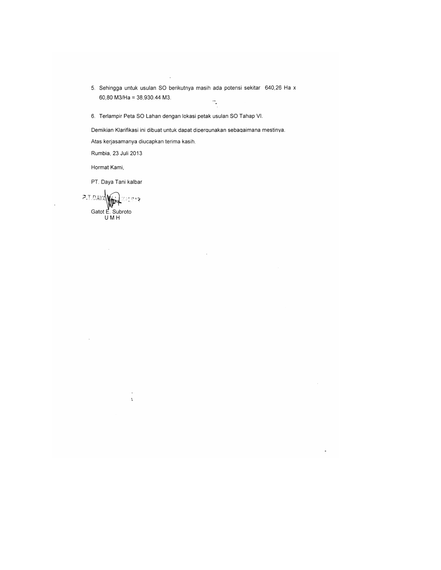- 5. Sehingga untuk usulan SO berikutnya masih ada potensi sekitar 640,26 Ha x 60,80 M3/Ha = 38,930.44 M3.  $\overline{\phantom{a}}$
- 6. Terlampir Peta SO Lahan dengan lokasi petak usulan SO Tahap VI.

Demikian Klarifikasi ini dibuat untuk dapat dipergunakan sebagaimana mestinya.

 $\overline{\phantom{a}}$ 

Atas kerjasamanya diucapkan terima kasih.

Rumbia, 23 Juli 2013

Hormat Kami,

PT. Daya Tani kalbar

**P.T.DAYAWAY** 

 $\bar{\mathcal{A}}$ 

 $\bar{\mathbf{a}}$  $\mathbf{t}$